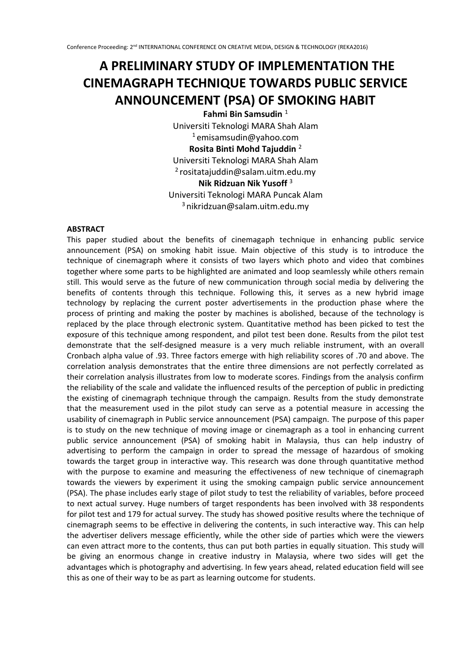# **A PRELIMINARY STUDY OF IMPLEMENTATION THE CINEMAGRAPH TECHNIQUE TOWARDS PUBLIC SERVICE ANNOUNCEMENT (PSA) OF SMOKING HABIT**

Fahmi Bin Samsudin<sup>1</sup> Universiti Teknologi MARA Shah Alam  $1$ emisamsudin@yahoo.com **Rosita Binti Mohd Tajuddin** <sup>2</sup> Universiti Teknologi MARA Shah Alam  $2$  rositatajuddin@salam.uitm.edu.my **Nik Ridzuan Nik Yusoff** <sup>3</sup> Universiti Teknologi MARA Puncak Alam  $3$ nikridzuan@salam.uitm.edu.my

## **ABSTRACT**

This paper studied about the benefits of cinemagaph technique in enhancing public service announcement (PSA) on smoking habit issue. Main objective of this study is to introduce the technique of cinemagraph where it consists of two layers which photo and video that combines together where some parts to be highlighted are animated and loop seamlessly while others remain still. This would serve as the future of new communication through social media by delivering the benefits of contents through this technique. Following this, it serves as a new hybrid image technology by replacing the current poster advertisements in the production phase where the process of printing and making the poster by machines is abolished, because of the technology is replaced by the place through electronic system. Quantitative method has been picked to test the exposure of this technique among respondent, and pilot test been done. Results from the pilot test demonstrate that the self-designed measure is a very much reliable instrument, with an overall Cronbach alpha value of .93. Three factors emerge with high reliability scores of .70 and above. The correlation analysis demonstrates that the entire three dimensions are not perfectly correlated as their correlation analysis illustrates from low to moderate scores. Findings from the analysis confirm the reliability of the scale and validate the influenced results of the perception of public in predicting the existing of cinemagraph technique through the campaign. Results from the study demonstrate that the measurement used in the pilot study can serve as a potential measure in accessing the usability of cinemagraph in Public service announcement (PSA) campaign. The purpose of this paper is to study on the new technique of moving image or cinemagraph as a tool in enhancing current public service announcement (PSA) of smoking habit in Malaysia, thus can help industry of advertising to perform the campaign in order to spread the message of hazardous of smoking towards the target group in interactive way. This research was done through quantitative method with the purpose to examine and measuring the effectiveness of new technique of cinemagraph towards the viewers by experiment it using the smoking campaign public service announcement (PSA). The phase includes early stage of pilot study to test the reliability of variables, before proceed to next actual survey. Huge numbers of target respondents has been involved with 38 respondents for pilot test and 179 for actual survey. The study has showed positive results where the technique of cinemagraph seems to be effective in delivering the contents, in such interactive way. This can help the advertiser delivers message efficiently, while the other side of parties which were the viewers can even attract more to the contents, thus can put both parties in equally situation. This study will be giving an enormous change in creative industry in Malaysia, where two sides will get the advantages which is photography and advertising. In few years ahead, related education field will see this as one of their way to be as part as learning outcome for students.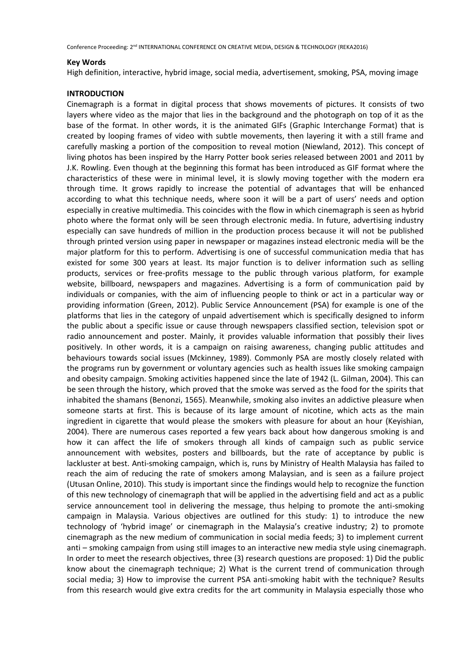#### **Key Words**

High definition, interactive, hybrid image, social media, advertisement, smoking, PSA, moving image

#### **INTRODUCTION**

Cinemagraph is a format in digital process that shows movements of pictures. It consists of two layers where video as the major that lies in the background and the photograph on top of it as the base of the format. In other words, it is the animated GIFs (Graphic Interchange Format) that is created by looping frames of video with subtle movements, then layering it with a still frame and carefully masking a portion of the composition to reveal motion (Niewland, 2012). This concept of living photos has been inspired by the Harry Potter book series released between 2001 and 2011 by J.K. Rowling. Even though at the beginning this format has been introduced as GIF format where the characteristics of these were in minimal level, it is slowly moving together with the modern era through time. It grows rapidly to increase the potential of advantages that will be enhanced according to what this technique needs, where soon it will be a part of users' needs and option especially in creative multimedia. This coincides with the flow in which cinemagraph is seen as hybrid photo where the format only will be seen through electronic media. In future, advertising industry especially can save hundreds of million in the production process because it will not be published through printed version using paper in newspaper or magazines instead electronic media will be the major platform for this to perform. Advertising is one of successful communication media that has existed for some 300 years at least. Its major function is to deliver information such as selling products, services or free-profits message to the public through various platform, for example website, billboard, newspapers and magazines. Advertising is a form of communication paid by individuals or companies, with the aim of influencing people to think or act in a particular way or providing information (Green, 2012). Public Service Announcement (PSA) for example is one of the platforms that lies in the category of unpaid advertisement which is specifically designed to inform the public about a specific issue or cause through newspapers classified section, television spot or radio announcement and poster. Mainly, it provides valuable information that possibly their lives positively. In other words, it is a campaign on raising awareness, changing public attitudes and behaviours towards social issues (Mckinney, 1989). Commonly PSA are mostly closely related with the programs run by government or voluntary agencies such as health issues like smoking campaign and obesity campaign. Smoking activities happened since the late of 1942 (L. Gilman, 2004). This can be seen through the history, which proved that the smoke was served as the food for the spirits that inhabited the shamans (Benonzi, 1565). Meanwhile, smoking also invites an addictive pleasure when someone starts at first. This is because of its large amount of nicotine, which acts as the main ingredient in cigarette that would please the smokers with pleasure for about an hour (Keyishian, 2004). There are numerous cases reported a few years back about how dangerous smoking is and how it can affect the life of smokers through all kinds of campaign such as public service announcement with websites, posters and billboards, but the rate of acceptance by public is lackluster at best. Anti-smoking campaign, which is, runs by Ministry of Health Malaysia has failed to reach the aim of reducing the rate of smokers among Malaysian, and is seen as a failure project (Utusan Online, 2010). This study is important since the findings would help to recognize the function of this new technology of cinemagraph that will be applied in the advertising field and act as a public service announcement tool in delivering the message, thus helping to promote the anti-smoking campaign in Malaysia. Various objectives are outlined for this study: 1) to introduce the new technology of 'hybrid image' or cinemagraph in the Malaysia's creative industry; 2) to promote cinemagraph as the new medium of communication in social media feeds; 3) to implement current anti – smoking campaign from using still images to an interactive new media style using cinemagraph. In order to meet the research objectives, three (3) research questions are proposed: 1) Did the public know about the cinemagraph technique; 2) What is the current trend of communication through social media; 3) How to improvise the current PSA anti-smoking habit with the technique? Results from this research would give extra credits for the art community in Malaysia especially those who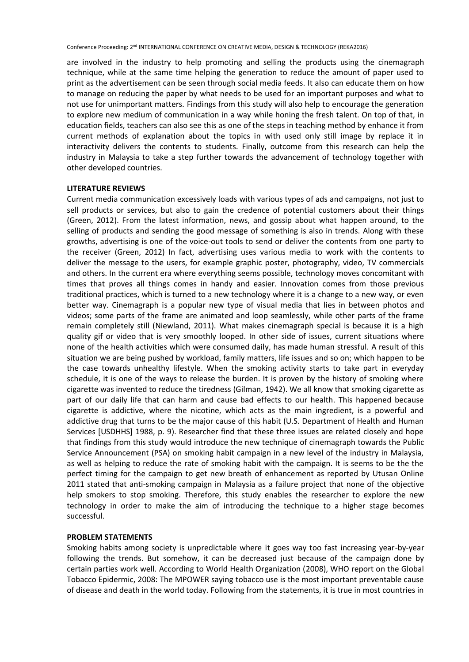are involved in the industry to help promoting and selling the products using the cinemagraph technique, while at the same time helping the generation to reduce the amount of paper used to print as the advertisement can be seen through social media feeds. It also can educate them on how to manage on reducing the paper by what needs to be used for an important purposes and what to not use for unimportant matters. Findings from this study will also help to encourage the generation to explore new medium of communication in a way while honing the fresh talent. On top of that, in education fields, teachers can also see this as one of the steps in teaching method by enhance it from current methods of explanation about the topics in with used only still image by replace it in interactivity delivers the contents to students. Finally, outcome from this research can help the industry in Malaysia to take a step further towards the advancement of technology together with other developed countries.

#### **LITERATURE REVIEWS**

Current media communication excessively loads with various types of ads and campaigns, not just to sell products or services, but also to gain the credence of potential customers about their things (Green, 2012). From the latest information, news, and gossip about what happen around, to the selling of products and sending the good message of something is also in trends. Along with these growths, advertising is one of the voice-out tools to send or deliver the contents from one party to the receiver (Green, 2012) In fact, advertising uses various media to work with the contents to deliver the message to the users, for example graphic poster, photography, video, TV commercials and others. In the current era where everything seems possible, technology moves concomitant with times that proves all things comes in handy and easier. Innovation comes from those previous traditional practices, which is turned to a new technology where it is a change to a new way, or even better way. Cinemagraph is a popular new type of visual media that lies in between photos and videos; some parts of the frame are animated and loop seamlessly, while other parts of the frame remain completely still (Niewland, 2011). What makes cinemagraph special is because it is a high quality gif or video that is very smoothly looped. In other side of issues, current situations where none of the health activities which were consumed daily, has made human stressful. A result of this situation we are being pushed by workload, family matters, life issues and so on; which happen to be the case towards unhealthy lifestyle. When the smoking activity starts to take part in everyday schedule, it is one of the ways to release the burden. It is proven by the history of smoking where cigarette was invented to reduce the tiredness (Gilman, 1942). We all know that smoking cigarette as part of our daily life that can harm and cause bad effects to our health. This happened because cigarette is addictive, where the nicotine, which acts as the main ingredient, is a powerful and addictive drug that turns to be the major cause of this habit (U.S. Department of Health and Human Services [USDHHS] 1988, p. 9). Researcher find that these three issues are related closely and hope that findings from this study would introduce the new technique of cinemagraph towards the Public Service Announcement (PSA) on smoking habit campaign in a new level of the industry in Malaysia, as well as helping to reduce the rate of smoking habit with the campaign. It is seems to be the the perfect timing for the campaign to get new breath of enhancement as reported by Utusan Online 2011 stated that anti-smoking campaign in Malaysia as a failure project that none of the objective help smokers to stop smoking. Therefore, this study enables the researcher to explore the new technology in order to make the aim of introducing the technique to a higher stage becomes successful.

# **PROBLEM STATEMENTS**

Smoking habits among society is unpredictable where it goes way too fast increasing year-by-year following the trends. But somehow, it can be decreased just because of the campaign done by certain parties work well. According to World Health Organization (2008), WHO report on the Global Tobacco Epidermic, 2008: The MPOWER saying tobacco use is the most important preventable cause of disease and death in the world today. Following from the statements, it is true in most countries in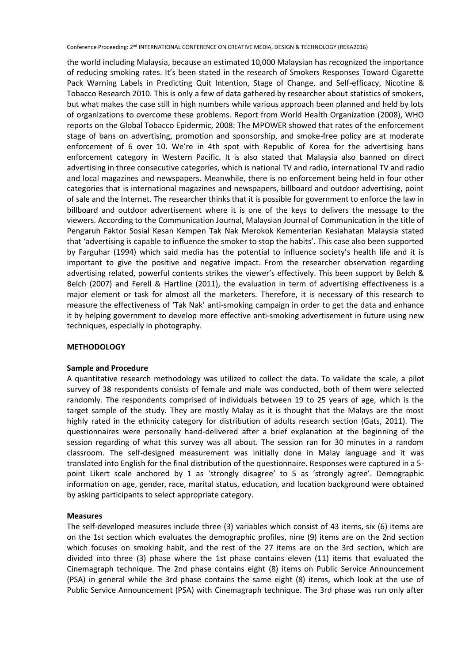the world including Malaysia, because an estimated 10,000 Malaysian has recognized the importance of reducing smoking rates. It's been stated in the research of Smokers Responses Toward Cigarette Pack Warning Labels in Predicting Quit Intention, Stage of Change, and Self-efficacy, Nicotine & Tobacco Research 2010. This is only a few of data gathered by researcher about statistics of smokers, but what makes the case still in high numbers while various approach been planned and held by lots of organizations to overcome these problems. Report from World Health Organization (2008), WHO reports on the Global Tobacco Epidermic, 2008: The MPOWER showed that rates of the enforcement stage of bans on advertising, promotion and sponsorship, and smoke-free policy are at moderate enforcement of 6 over 10. We're in 4th spot with Republic of Korea for the advertising bans enforcement category in Western Pacific. It is also stated that Malaysia also banned on direct advertising in three consecutive categories, which is national TV and radio, international TV and radio and local magazines and newspapers. Meanwhile, there is no enforcement being held in four other categories that is international magazines and newspapers, billboard and outdoor advertising, point of sale and the Internet. The researcher thinks that it is possible for government to enforce the law in billboard and outdoor advertisement where it is one of the keys to delivers the message to the viewers. According to the Communication Journal, Malaysian Journal of Communication in the title of Pengaruh Faktor Sosial Kesan Kempen Tak Nak Merokok Kementerian Kesiahatan Malaysia stated that 'advertising is capable to influence the smoker to stop the habits'. This case also been supported by Farguhar (1994) which said media has the potential to influence society's health life and it is important to give the positive and negative impact. From the researcher observation regarding advertising related, powerful contents strikes the viewer's effectively. This been support by Belch & Belch (2007) and Ferell & Hartline (2011), the evaluation in term of advertising effectiveness is a major element or task for almost all the marketers. Therefore, it is necessary of this research to measure the effectiveness of 'Tak Nak' anti-smoking campaign in order to get the data and enhance it by helping government to develop more effective anti-smoking advertisement in future using new techniques, especially in photography.

## **METHODOLOGY**

## **Sample and Procedure**

A quantitative research methodology was utilized to collect the data. To validate the scale, a pilot survey of 38 respondents consists of female and male was conducted, both of them were selected randomly. The respondents comprised of individuals between 19 to 25 years of age, which is the target sample of the study. They are mostly Malay as it is thought that the Malays are the most highly rated in the ethnicity category for distribution of adults research section (Gats, 2011). The questionnaires were personally hand-delivered after a brief explanation at the beginning of the session regarding of what this survey was all about. The session ran for 30 minutes in a random classroom. The self-designed measurement was initially done in Malay language and it was translated into English for the final distribution of the questionnaire. Responses were captured in a 5 point Likert scale anchored by 1 as 'strongly disagree' to 5 as 'strongly agree'. Demographic information on age, gender, race, marital status, education, and location background were obtained by asking participants to select appropriate category.

# **Measures**

The self-developed measures include three (3) variables which consist of 43 items, six (6) items are on the 1st section which evaluates the demographic profiles, nine (9) items are on the 2nd section which focuses on smoking habit, and the rest of the 27 items are on the 3rd section, which are divided into three (3) phase where the 1st phase contains eleven (11) items that evaluated the Cinemagraph technique. The 2nd phase contains eight (8) items on Public Service Announcement (PSA) in general while the 3rd phase contains the same eight (8) items, which look at the use of Public Service Announcement (PSA) with Cinemagraph technique. The 3rd phase was run only after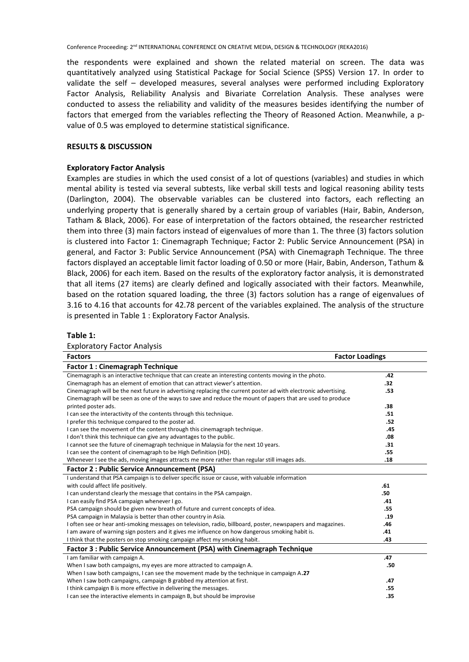the respondents were explained and shown the related material on screen. The data was quantitatively analyzed using Statistical Package for Social Science (SPSS) Version 17. In order to validate the self – developed measures, several analyses were performed including Exploratory Factor Analysis, Reliability Analysis and Bivariate Correlation Analysis. These analyses were conducted to assess the reliability and validity of the measures besides identifying the number of factors that emerged from the variables reflecting the Theory of Reasoned Action. Meanwhile, a pvalue of 0.5 was employed to determine statistical significance.

## **RESULTS & DISCUSSION**

## **Exploratory Factor Analysis**

Examples are studies in which the used consist of a lot of questions (variables) and studies in which mental ability is tested via several subtests, like verbal skill tests and logical reasoning ability tests (Darlington, 2004). The observable variables can be clustered into factors, each reflecting an underlying property that is generally shared by a certain group of variables (Hair, Babin, Anderson, Tatham & Black, 2006). For ease of interpretation of the factors obtained, the researcher restricted them into three (3) main factors instead of eigenvalues of more than 1. The three (3) factors solution is clustered into Factor 1: Cinemagraph Technique; Factor 2: Public Service Announcement (PSA) in general, and Factor 3: Public Service Announcement (PSA) with Cinemagraph Technique. The three factors displayed an acceptable limit factor loading of 0.50 or more (Hair, Babin, Anderson, Tathum & Black, 2006) for each item. Based on the results of the exploratory factor analysis, it is demonstrated that all items (27 items) are clearly defined and logically associated with their factors. Meanwhile, based on the rotation squared loading, the three (3) factors solution has a range of eigenvalues of 3.16 to 4.16 that accounts for 42.78 percent of the variables explained. The analysis of the structure is presented in Table 1 : Exploratory Factor Analysis.

| <b>Exploratory Factor Analysis</b>                                                                              |                        |  |
|-----------------------------------------------------------------------------------------------------------------|------------------------|--|
| <b>Factors</b>                                                                                                  | <b>Factor Loadings</b> |  |
| <b>Factor 1: Cinemagraph Technique</b>                                                                          |                        |  |
| Cinemagraph is an interactive technique that can create an interesting contents moving in the photo.            | .42                    |  |
| Cinemagraph has an element of emotion that can attract viewer's attention.                                      | .32                    |  |
| Cinemagraph will be the next future in advertising replacing the current poster ad with electronic advertising. | .53                    |  |
| Cinemagraph will be seen as one of the ways to save and reduce the mount of papers that are used to produce     |                        |  |
| printed poster ads.                                                                                             | .38                    |  |
| I can see the interactivity of the contents through this technique.                                             | .51                    |  |
| I prefer this technique compared to the poster ad.                                                              | .52                    |  |
| I can see the movement of the content through this cinemagraph technique.                                       | .45                    |  |
| I don't think this technique can give any advantages to the public.                                             | .08                    |  |
| I cannot see the future of cinemagraph technique in Malaysia for the next 10 years.                             | .31                    |  |
| I can see the content of cinemagraph to be High Definition (HD).                                                | .55                    |  |
| Whenever I see the ads, moving images attracts me more rather than regular still images ads.                    | .18                    |  |
| <b>Factor 2: Public Service Announcement (PSA)</b>                                                              |                        |  |
| I understand that PSA campaign is to deliver specific issue or cause, with valuable information                 |                        |  |
| with could affect life positively.                                                                              | .61                    |  |
| I can understand clearly the message that contains in the PSA campaign.                                         | .50                    |  |
| I can easily find PSA campaign whenever I go.                                                                   | .41                    |  |
| PSA campaign should be given new breath of future and current concepts of idea.                                 | .55                    |  |
| PSA campaign in Malaysia is better than other country in Asia.                                                  | .19                    |  |
| I often see or hear anti-smoking messages on television, radio, billboard, poster, newspapers and magazines.    | .46                    |  |
| I am aware of warning sign posters and it gives me influence on how dangerous smoking habit is.                 | .41                    |  |
| I think that the posters on stop smoking campaign affect my smoking habit.                                      | .43                    |  |
| Factor 3 : Public Service Announcement (PSA) with Cinemagraph Technique                                         |                        |  |
| I am familiar with campaign A.                                                                                  | .47                    |  |
| When I saw both campaigns, my eyes are more attracted to campaign A.                                            | .50                    |  |
| When I saw both campaigns, I can see the movement made by the technique in campaign A.27                        |                        |  |
| When I saw both campaigns, campaign B grabbed my attention at first.                                            | .47                    |  |
| I think campaign B is more effective in delivering the messages.                                                | .55                    |  |
| I can see the interactive elements in campaign B, but should be improvise                                       | .35                    |  |

## **Table 1:**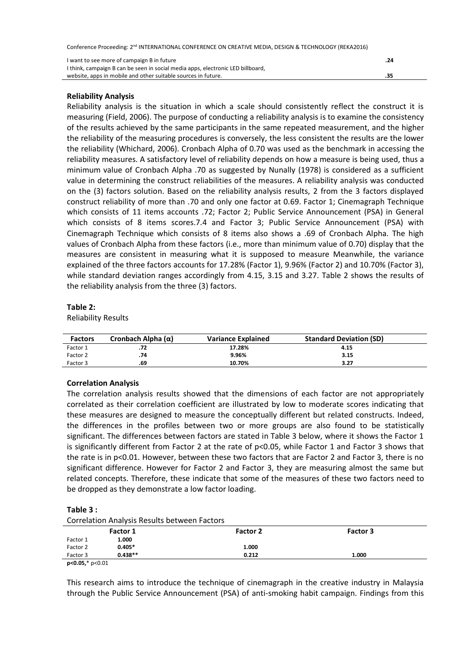| I want to see more of campaign B in future                                      | .24 |
|---------------------------------------------------------------------------------|-----|
| I think, campaign B can be seen in social media apps, electronic LED billboard, |     |
| website, apps in mobile and other suitable sources in future.                   | .35 |

## **Reliability Analysis**

Reliability analysis is the situation in which a scale should consistently reflect the construct it is measuring (Field, 2006). The purpose of conducting a reliability analysis is to examine the consistency of the results achieved by the same participants in the same repeated measurement, and the higher the reliability of the measuring procedures is conversely, the less consistent the results are the lower the reliability (Whichard, 2006). Cronbach Alpha of 0.70 was used as the benchmark in accessing the reliability measures. A satisfactory level of reliability depends on how a measure is being used, thus a minimum value of Cronbach Alpha .70 as suggested by Nunally (1978) is considered as a sufficient value in determining the construct reliabilities of the measures. A reliability analysis was conducted on the (3) factors solution. Based on the reliability analysis results, 2 from the 3 factors displayed construct reliability of more than .70 and only one factor at 0.69. Factor 1; Cinemagraph Technique which consists of 11 items accounts .72; Factor 2; Public Service Announcement (PSA) in General which consists of 8 items scores.7.4 and Factor 3; Public Service Announcement (PSA) with Cinemagraph Technique which consists of 8 items also shows a .69 of Cronbach Alpha. The high values of Cronbach Alpha from these factors (i.e., more than minimum value of 0.70) display that the measures are consistent in measuring what it is supposed to measure Meanwhile, the variance explained of the three factors accounts for 17.28% (Factor 1), 9.96% (Factor 2) and 10.70% (Factor 3), while standard deviation ranges accordingly from 4.15, 3.15 and 3.27. Table 2 shows the results of the reliability analysis from the three (3) factors.

## **Table 2:**

Reliability Results

| <b>Factors</b> | Cronbach Alpha $(\alpha)$ | <b>Variance Explained</b> | <b>Standard Deviation (SD)</b> |
|----------------|---------------------------|---------------------------|--------------------------------|
| Factor 1       | .72                       | 17.28%                    | 4.15                           |
| Factor 2       | .74                       | 9.96%                     | 3.15                           |
| Factor 3       | .69                       | 10.70%                    | 3.27                           |

# **Correlation Analysis**

The correlation analysis results showed that the dimensions of each factor are not appropriately correlated as their correlation coefficient are illustrated by low to moderate scores indicating that these measures are designed to measure the conceptually different but related constructs. Indeed, the differences in the profiles between two or more groups are also found to be statistically significant. The differences between factors are stated in Table 3 below, where it shows the Factor 1 is significantly different from Factor 2 at the rate of p<0.05, while Factor 1 and Factor 3 shows that the rate is in p<0.01. However, between these two factors that are Factor 2 and Factor 3, there is no significant difference. However for Factor 2 and Factor 3, they are measuring almost the same but related concepts. Therefore, these indicate that some of the measures of these two factors need to be dropped as they demonstrate a low factor loading.

## **Table 3 :**

Correlation Analysis Results between Factors

| correlation / widiyolo neodito between ractors |           |                 |          |  |
|------------------------------------------------|-----------|-----------------|----------|--|
|                                                | Factor 1  | <b>Factor 2</b> | Factor 3 |  |
| Factor 1                                       | 1.000     |                 |          |  |
| Factor 2                                       | $0.405*$  | 1.000           |          |  |
| Factor 3                                       | $0.438**$ | 0.212           | 1.000    |  |
|                                                |           |                 |          |  |

**p<0.05,**\* p<0.01

This research aims to introduce the technique of cinemagraph in the creative industry in Malaysia through the Public Service Announcement (PSA) of anti-smoking habit campaign. Findings from this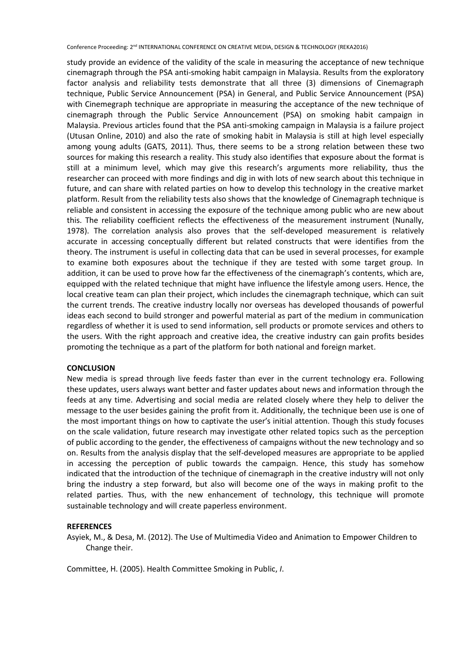study provide an evidence of the validity of the scale in measuring the acceptance of new technique cinemagraph through the PSA anti-smoking habit campaign in Malaysia. Results from the exploratory factor analysis and reliability tests demonstrate that all three (3) dimensions of Cinemagraph technique, Public Service Announcement (PSA) in General, and Public Service Announcement (PSA) with Cinemegraph technique are appropriate in measuring the acceptance of the new technique of cinemagraph through the Public Service Announcement (PSA) on smoking habit campaign in Malaysia. Previous articles found that the PSA anti-smoking campaign in Malaysia is a failure project (Utusan Online, 2010) and also the rate of smoking habit in Malaysia is still at high level especially among young adults (GATS, 2011). Thus, there seems to be a strong relation between these two sources for making this research a reality. This study also identifies that exposure about the format is still at a minimum level, which may give this research's arguments more reliability, thus the researcher can proceed with more findings and dig in with lots of new search about this technique in future, and can share with related parties on how to develop this technology in the creative market platform. Result from the reliability tests also shows that the knowledge of Cinemagraph technique is reliable and consistent in accessing the exposure of the technique among public who are new about this. The reliability coefficient reflects the effectiveness of the measurement instrument (Nunally, 1978). The correlation analysis also proves that the self-developed measurement is relatively accurate in accessing conceptually different but related constructs that were identifies from the theory. The instrument is useful in collecting data that can be used in several processes, for example to examine both exposures about the technique if they are tested with some target group. In addition, it can be used to prove how far the effectiveness of the cinemagraph's contents, which are, equipped with the related technique that might have influence the lifestyle among users. Hence, the local creative team can plan their project, which includes the cinemagraph technique, which can suit the current trends. The creative industry locally nor overseas has developed thousands of powerful ideas each second to build stronger and powerful material as part of the medium in communication regardless of whether it is used to send information, sell products or promote services and others to the users. With the right approach and creative idea, the creative industry can gain profits besides promoting the technique as a part of the platform for both national and foreign market.

## **CONCLUSION**

New media is spread through live feeds faster than ever in the current technology era. Following these updates, users always want better and faster updates about news and information through the feeds at any time. Advertising and social media are related closely where they help to deliver the message to the user besides gaining the profit from it. Additionally, the technique been use is one of the most important things on how to captivate the user's initial attention. Though this study focuses on the scale validation, future research may investigate other related topics such as the perception of public according to the gender, the effectiveness of campaigns without the new technology and so on. Results from the analysis display that the self-developed measures are appropriate to be applied in accessing the perception of public towards the campaign. Hence, this study has somehow indicated that the introduction of the technique of cinemagraph in the creative industry will not only bring the industry a step forward, but also will become one of the ways in making profit to the related parties. Thus, with the new enhancement of technology, this technique will promote sustainable technology and will create paperless environment.

## **REFERENCES**

Asyiek, M., & Desa, M. (2012). The Use of Multimedia Video and Animation to Empower Children to Change their.

Committee, H. (2005). Health Committee Smoking in Public, *I*.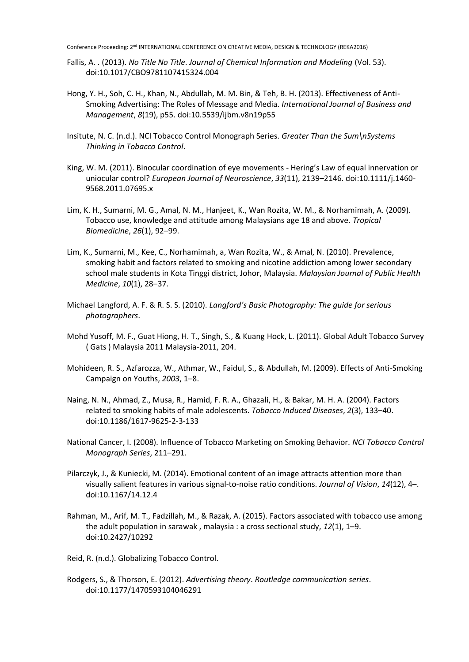- Fallis, A. . (2013). *No Title No Title*. *Journal of Chemical Information and Modeling* (Vol. 53). doi:10.1017/CBO9781107415324.004
- Hong, Y. H., Soh, C. H., Khan, N., Abdullah, M. M. Bin, & Teh, B. H. (2013). Effectiveness of Anti-Smoking Advertising: The Roles of Message and Media. *International Journal of Business and Management*, *8*(19), p55. doi:10.5539/ijbm.v8n19p55
- Insitute, N. C. (n.d.). NCI Tobacco Control Monograph Series. *Greater Than the Sum\nSystems Thinking in Tobacco Control*.
- King, W. M. (2011). Binocular coordination of eye movements Hering's Law of equal innervation or uniocular control? *European Journal of Neuroscience*, *33*(11), 2139–2146. doi:10.1111/j.1460- 9568.2011.07695.x
- Lim, K. H., Sumarni, M. G., Amal, N. M., Hanjeet, K., Wan Rozita, W. M., & Norhamimah, A. (2009). Tobacco use, knowledge and attitude among Malaysians age 18 and above. *Tropical Biomedicine*, *26*(1), 92–99.
- Lim, K., Sumarni, M., Kee, C., Norhamimah, a, Wan Rozita, W., & Amal, N. (2010). Prevalence, smoking habit and factors related to smoking and nicotine addiction among lower secondary school male students in Kota Tinggi district, Johor, Malaysia. *Malaysian Journal of Public Health Medicine*, *10*(1), 28–37.
- Michael Langford, A. F. & R. S. S. (2010). *Langford's Basic Photography: The guide for serious photographers*.
- Mohd Yusoff, M. F., Guat Hiong, H. T., Singh, S., & Kuang Hock, L. (2011). Global Adult Tobacco Survey ( Gats ) Malaysia 2011 Malaysia-2011, 204.
- Mohideen, R. S., Azfarozza, W., Athmar, W., Faidul, S., & Abdullah, M. (2009). Effects of Anti-Smoking Campaign on Youths, *2003*, 1–8.
- Naing, N. N., Ahmad, Z., Musa, R., Hamid, F. R. A., Ghazali, H., & Bakar, M. H. A. (2004). Factors related to smoking habits of male adolescents. *Tobacco Induced Diseases*, *2*(3), 133–40. doi:10.1186/1617-9625-2-3-133
- National Cancer, I. (2008). Influence of Tobacco Marketing on Smoking Behavior. *NCI Tobacco Control Monograph Series*, 211–291.
- Pilarczyk, J., & Kuniecki, M. (2014). Emotional content of an image attracts attention more than visually salient features in various signal-to-noise ratio conditions. *Journal of Vision*, *14*(12), 4–. doi:10.1167/14.12.4
- Rahman, M., Arif, M. T., Fadzillah, M., & Razak, A. (2015). Factors associated with tobacco use among the adult population in sarawak , malaysia : a cross sectional study, *12*(1), 1–9. doi:10.2427/10292
- Reid, R. (n.d.). Globalizing Tobacco Control.
- Rodgers, S., & Thorson, E. (2012). *Advertising theory*. *Routledge communication series*. doi:10.1177/1470593104046291